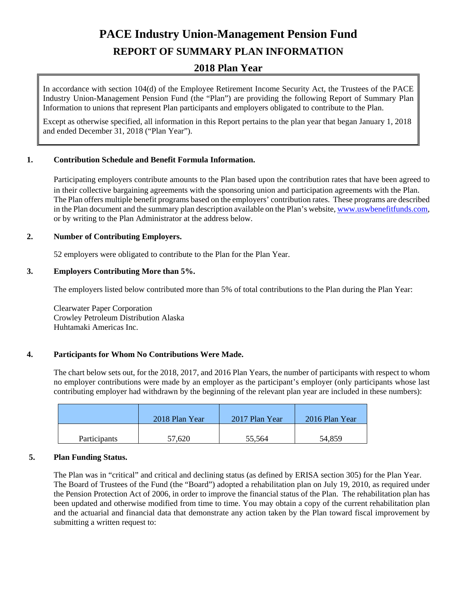# **PACE Industry Union-Management Pension Fund**

# **REPORT OF SUMMARY PLAN INFORMATION**

# **2018 Plan Year**

In accordance with section 104(d) of the Employee Retirement Income Security Act, the Trustees of the PACE Industry Union-Management Pension Fund (the "Plan") are providing the following Report of Summary Plan Information to unions that represent Plan participants and employers obligated to contribute to the Plan.

Except as otherwise specified, all information in this Report pertains to the plan year that began January 1, 2018 and ended December 31, 2018 ("Plan Year").

# **1. Contribution Schedule and Benefit Formula Information.**

Participating employers contribute amounts to the Plan based upon the contribution rates that have been agreed to in their collective bargaining agreements with the sponsoring union and participation agreements with the Plan. The Plan offers multiple benefit programs based on the employers' contribution rates. These programs are described in the Plan document and the summary plan description available on the Plan's website[, www.uswbenefitfunds.com,](http://www.uswbenefitfunds.com/) or by writing to the Plan Administrator at the address below.

# **2. Number of Contributing Employers.**

52 employers were obligated to contribute to the Plan for the Plan Year.

# **3. Employers Contributing More than 5%.**

The employers listed below contributed more than 5% of total contributions to the Plan during the Plan Year:

Clearwater Paper Corporation Crowley Petroleum Distribution Alaska Huhtamaki Americas Inc.

#### **4. Participants for Whom No Contributions Were Made.**

The chart below sets out, for the 2018, 2017, and 2016 Plan Years, the number of participants with respect to whom no employer contributions were made by an employer as the participant's employer (only participants whose last contributing employer had withdrawn by the beginning of the relevant plan year are included in these numbers):

|                     | 2018 Plan Year | 2017 Plan Year | 2016 Plan Year |
|---------------------|----------------|----------------|----------------|
| <b>Participants</b> | 57,620         | 55,564         | 54,859         |

#### **5. Plan Funding Status.**

The Plan was in "critical" and critical and declining status (as defined by ERISA section 305) for the Plan Year. The Board of Trustees of the Fund (the "Board") adopted a rehabilitation plan on July 19, 2010, as required under the Pension Protection Act of 2006, in order to improve the financial status of the Plan. The rehabilitation plan has been updated and otherwise modified from time to time. You may obtain a copy of the current rehabilitation plan and the actuarial and financial data that demonstrate any action taken by the Plan toward fiscal improvement by submitting a written request to: